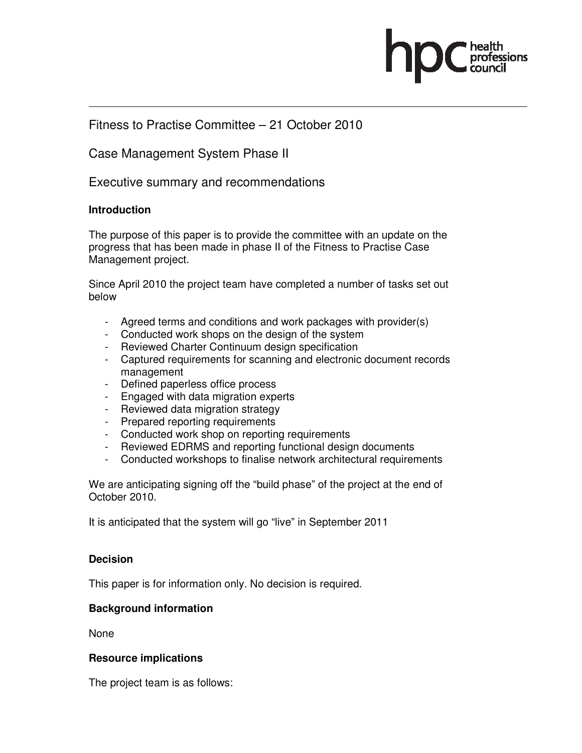

# Fitness to Practise Committee – 21 October 2010

# Case Management System Phase II

Executive summary and recommendations

### **Introduction**

The purpose of this paper is to provide the committee with an update on the progress that has been made in phase II of the Fitness to Practise Case Management project.

Since April 2010 the project team have completed a number of tasks set out below

- Agreed terms and conditions and work packages with provider(s)
- Conducted work shops on the design of the system
- Reviewed Charter Continuum design specification
- Captured requirements for scanning and electronic document records management
- Defined paperless office process
- Engaged with data migration experts
- Reviewed data migration strategy
- Prepared reporting requirements
- Conducted work shop on reporting requirements
- Reviewed EDRMS and reporting functional design documents
- Conducted workshops to finalise network architectural requirements

We are anticipating signing off the "build phase" of the project at the end of October 2010.

It is anticipated that the system will go "live" in September 2011

### **Decision**

This paper is for information only. No decision is required.

## **Background information**

None

### **Resource implications**

The project team is as follows: